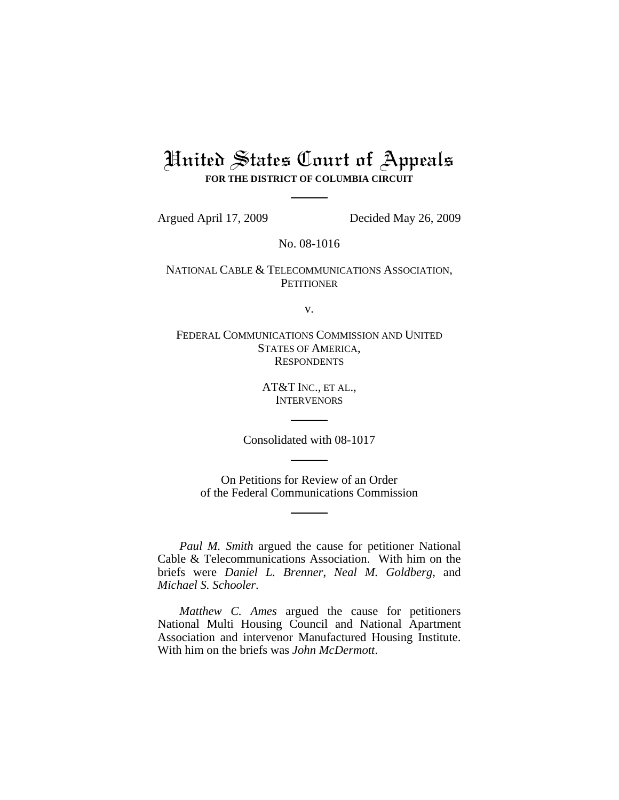# United States Court of Appeals **FOR THE DISTRICT OF COLUMBIA CIRCUIT**

Argued April 17, 2009 Decided May 26, 2009

No. 08-1016

NATIONAL CABLE & TELECOMMUNICATIONS ASSOCIATION, **PETITIONER** 

v.

FEDERAL COMMUNICATIONS COMMISSION AND UNITED STATES OF AMERICA, **RESPONDENTS** 

> AT&T INC., ET AL., **INTERVENORS**

Consolidated with 08-1017

On Petitions for Review of an Order of the Federal Communications Commission

*Paul M. Smith* argued the cause for petitioner National Cable & Telecommunications Association. With him on the briefs were *Daniel L. Brenner*, *Neal M. Goldberg*, and *Michael S. Schooler*.

*Matthew C. Ames* argued the cause for petitioners National Multi Housing Council and National Apartment Association and intervenor Manufactured Housing Institute. With him on the briefs was *John McDermott*.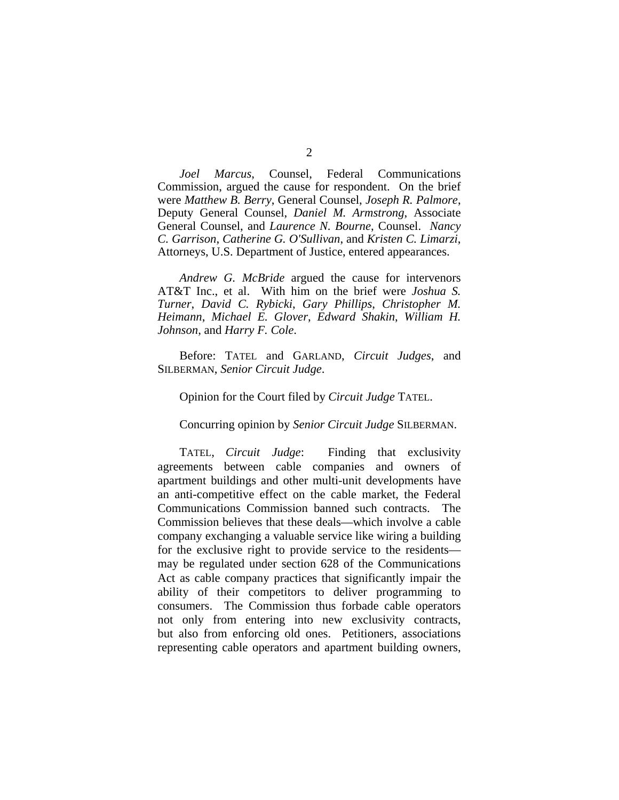*Joel Marcus*, Counsel, Federal Communications Commission, argued the cause for respondent. On the brief were *Matthew B. Berry*, General Counsel, *Joseph R. Palmore*, Deputy General Counsel, *Daniel M. Armstrong*, Associate General Counsel, and *Laurence N. Bourne*, Counsel. *Nancy C. Garrison*, *Catherine G. O'Sullivan*, and *Kristen C. Limarzi*, Attorneys, U.S. Department of Justice, entered appearances.

*Andrew G. McBride* argued the cause for intervenors AT&T Inc., et al. With him on the brief were *Joshua S. Turner*, *David C. Rybicki*, *Gary Phillips*, *Christopher M. Heimann*, *Michael E. Glover*, *Edward Shakin*, *William H. Johnson*, and *Harry F. Cole*.

Before: TATEL and GARLAND, *Circuit Judges*, and SILBERMAN, *Senior Circuit Judge*.

## Opinion for the Court filed by *Circuit Judge* TATEL.

Concurring opinion by *Senior Circuit Judge* SILBERMAN.

 TATEL, *Circuit Judge*: Finding that exclusivity agreements between cable companies and owners of apartment buildings and other multi-unit developments have an anti-competitive effect on the cable market, the Federal Communications Commission banned such contracts. The Commission believes that these deals—which involve a cable company exchanging a valuable service like wiring a building for the exclusive right to provide service to the residents may be regulated under section 628 of the Communications Act as cable company practices that significantly impair the ability of their competitors to deliver programming to consumers. The Commission thus forbade cable operators not only from entering into new exclusivity contracts, but also from enforcing old ones. Petitioners, associations representing cable operators and apartment building owners,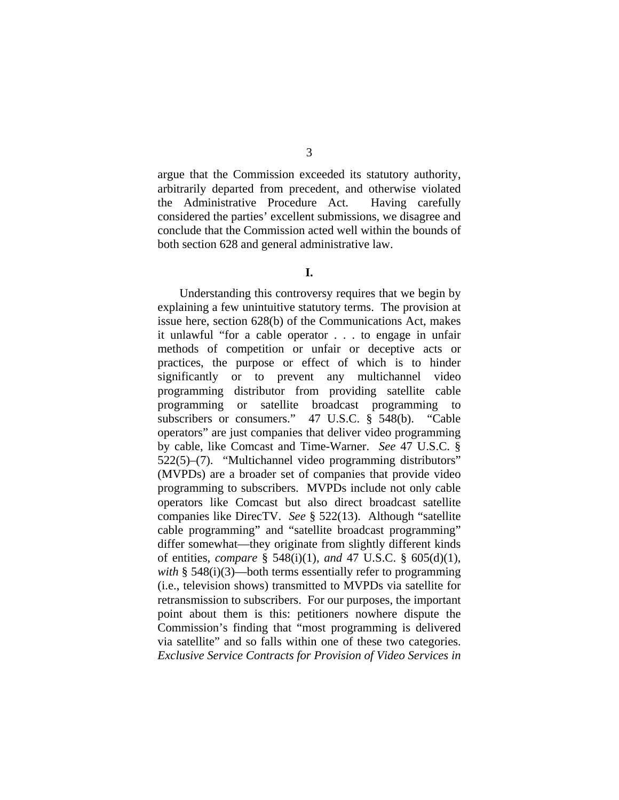argue that the Commission exceeded its statutory authority, arbitrarily departed from precedent, and otherwise violated the Administrative Procedure Act. Having carefully considered the parties' excellent submissions, we disagree and conclude that the Commission acted well within the bounds of both section 628 and general administrative law.

# **I.**

Understanding this controversy requires that we begin by explaining a few unintuitive statutory terms. The provision at issue here, section 628(b) of the Communications Act, makes it unlawful "for a cable operator . . . to engage in unfair methods of competition or unfair or deceptive acts or practices, the purpose or effect of which is to hinder significantly or to prevent any multichannel video programming distributor from providing satellite cable programming or satellite broadcast programming to subscribers or consumers." 47 U.S.C. § 548(b). "Cable operators" are just companies that deliver video programming by cable, like Comcast and Time-Warner. *See* 47 U.S.C. § 522(5)–(7). "Multichannel video programming distributors" (MVPDs) are a broader set of companies that provide video programming to subscribers. MVPDs include not only cable operators like Comcast but also direct broadcast satellite companies like DirecTV. *See* § 522(13). Although "satellite cable programming" and "satellite broadcast programming" differ somewhat—they originate from slightly different kinds of entities, *compare* § 548(i)(1), *and* 47 U.S.C. § 605(d)(1), *with* § 548(i)(3)—both terms essentially refer to programming (i.e., television shows) transmitted to MVPDs via satellite for retransmission to subscribers. For our purposes, the important point about them is this: petitioners nowhere dispute the Commission's finding that "most programming is delivered via satellite" and so falls within one of these two categories. *Exclusive Service Contracts for Provision of Video Services in*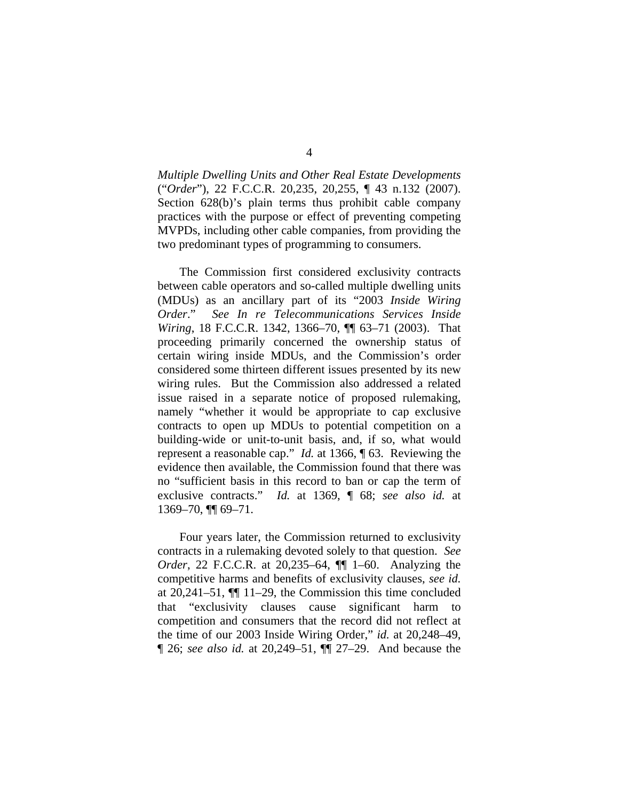*Multiple Dwelling Units and Other Real Estate Developments*  ("*Order*"), 22 F.C.C.R. 20,235, 20,255, ¶ 43 n.132 (2007). Section 628(b)'s plain terms thus prohibit cable company practices with the purpose or effect of preventing competing MVPDs, including other cable companies, from providing the two predominant types of programming to consumers.

 The Commission first considered exclusivity contracts between cable operators and so-called multiple dwelling units (MDUs) as an ancillary part of its "2003 *Inside Wiring Order*." *See In re Telecommunications Services Inside Wiring*, 18 F.C.C.R. 1342, 1366–70, ¶¶ 63–71 (2003). That proceeding primarily concerned the ownership status of certain wiring inside MDUs, and the Commission's order considered some thirteen different issues presented by its new wiring rules. But the Commission also addressed a related issue raised in a separate notice of proposed rulemaking, namely "whether it would be appropriate to cap exclusive contracts to open up MDUs to potential competition on a building-wide or unit-to-unit basis, and, if so, what would represent a reasonable cap." *Id.* at 1366, ¶ 63. Reviewing the evidence then available, the Commission found that there was no "sufficient basis in this record to ban or cap the term of exclusive contracts." *Id.* at 1369, ¶ 68; *see also id.* at 1369–70, ¶¶ 69–71.

 Four years later, the Commission returned to exclusivity contracts in a rulemaking devoted solely to that question. *See Order*, 22 F.C.C.R. at 20,235–64, ¶¶ 1–60. Analyzing the competitive harms and benefits of exclusivity clauses, *see id.* at 20,241–51, ¶¶ 11–29, the Commission this time concluded that "exclusivity clauses cause significant harm to competition and consumers that the record did not reflect at the time of our 2003 Inside Wiring Order," *id.* at 20,248–49, ¶ 26; *see also id.* at 20,249–51, ¶¶ 27–29. And because the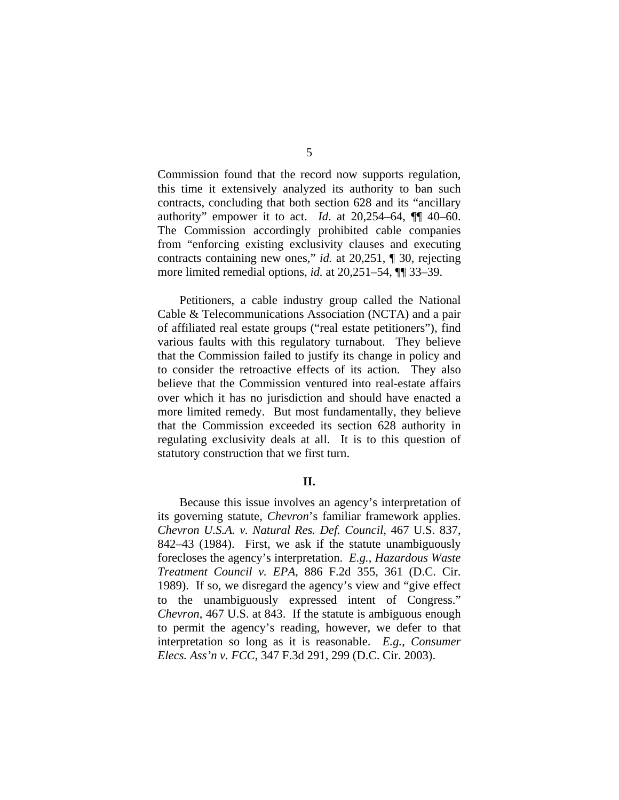Commission found that the record now supports regulation, this time it extensively analyzed its authority to ban such contracts, concluding that both section 628 and its "ancillary authority" empower it to act. *Id*. at 20,254–64, ¶¶ 40–60. The Commission accordingly prohibited cable companies from "enforcing existing exclusivity clauses and executing contracts containing new ones," *id.* at 20,251, ¶ 30, rejecting more limited remedial options, *id.* at 20,251–54, ¶¶ 33–39.

 Petitioners, a cable industry group called the National Cable & Telecommunications Association (NCTA) and a pair of affiliated real estate groups ("real estate petitioners"), find various faults with this regulatory turnabout. They believe that the Commission failed to justify its change in policy and to consider the retroactive effects of its action. They also believe that the Commission ventured into real-estate affairs over which it has no jurisdiction and should have enacted a more limited remedy. But most fundamentally, they believe that the Commission exceeded its section 628 authority in regulating exclusivity deals at all. It is to this question of statutory construction that we first turn.

#### **II.**

Because this issue involves an agency's interpretation of its governing statute, *Chevron*'s familiar framework applies. *Chevron U.S.A. v. Natural Res. Def. Council*, 467 U.S. 837, 842–43 (1984). First, we ask if the statute unambiguously forecloses the agency's interpretation. *E.g.*, *Hazardous Waste Treatment Council v. EPA*, 886 F.2d 355, 361 (D.C. Cir. 1989). If so, we disregard the agency's view and "give effect to the unambiguously expressed intent of Congress." *Chevron*, 467 U.S. at 843. If the statute is ambiguous enough to permit the agency's reading, however, we defer to that interpretation so long as it is reasonable. *E.g.*, *Consumer Elecs. Ass'n v. FCC*, 347 F.3d 291, 299 (D.C. Cir. 2003).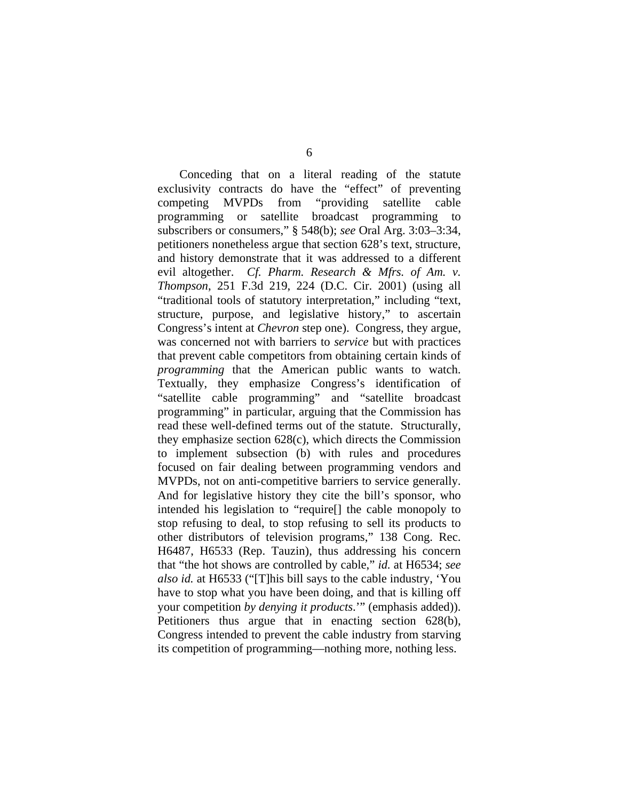Conceding that on a literal reading of the statute exclusivity contracts do have the "effect" of preventing competing MVPDs from "providing satellite cable programming or satellite broadcast programming to subscribers or consumers," § 548(b); *see* Oral Arg. 3:03–3:34, petitioners nonetheless argue that section 628's text, structure, and history demonstrate that it was addressed to a different evil altogether. *Cf. Pharm. Research & Mfrs. of Am. v. Thompson*, 251 F.3d 219, 224 (D.C. Cir. 2001) (using all "traditional tools of statutory interpretation," including "text, structure, purpose, and legislative history," to ascertain Congress's intent at *Chevron* step one). Congress, they argue, was concerned not with barriers to *service* but with practices that prevent cable competitors from obtaining certain kinds of *programming* that the American public wants to watch. Textually, they emphasize Congress's identification of "satellite cable programming" and "satellite broadcast programming" in particular, arguing that the Commission has read these well-defined terms out of the statute. Structurally, they emphasize section 628(c), which directs the Commission to implement subsection (b) with rules and procedures focused on fair dealing between programming vendors and MVPDs, not on anti-competitive barriers to service generally. And for legislative history they cite the bill's sponsor, who intended his legislation to "require[] the cable monopoly to stop refusing to deal, to stop refusing to sell its products to other distributors of television programs," 138 Cong. Rec. H6487, H6533 (Rep. Tauzin), thus addressing his concern that "the hot shows are controlled by cable," *id.* at H6534; *see also id.* at H6533 ("[T]his bill says to the cable industry, 'You have to stop what you have been doing, and that is killing off your competition *by denying it products*.'" (emphasis added)). Petitioners thus argue that in enacting section 628(b), Congress intended to prevent the cable industry from starving its competition of programming—nothing more, nothing less.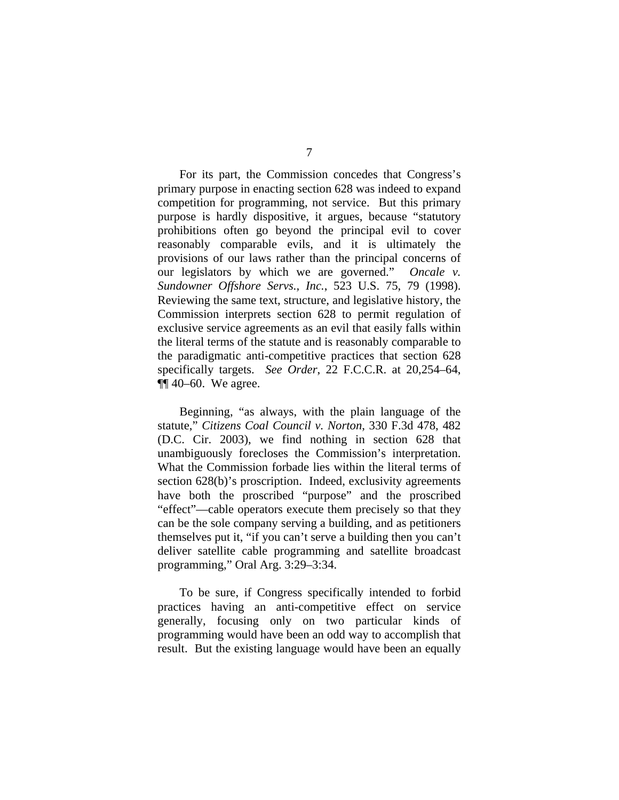For its part, the Commission concedes that Congress's primary purpose in enacting section 628 was indeed to expand competition for programming, not service. But this primary purpose is hardly dispositive, it argues, because "statutory prohibitions often go beyond the principal evil to cover reasonably comparable evils, and it is ultimately the provisions of our laws rather than the principal concerns of our legislators by which we are governed." *Oncale v. Sundowner Offshore Servs., Inc.*, 523 U.S. 75, 79 (1998). Reviewing the same text, structure, and legislative history, the Commission interprets section 628 to permit regulation of exclusive service agreements as an evil that easily falls within the literal terms of the statute and is reasonably comparable to the paradigmatic anti-competitive practices that section 628 specifically targets. *See Order*, 22 F.C.C.R. at 20,254–64,  $\P\P$  40–60. We agree.

 Beginning, "as always, with the plain language of the statute," *Citizens Coal Council v. Norton*, 330 F.3d 478, 482 (D.C. Cir. 2003), we find nothing in section 628 that unambiguously forecloses the Commission's interpretation. What the Commission forbade lies within the literal terms of section 628(b)'s proscription. Indeed, exclusivity agreements have both the proscribed "purpose" and the proscribed "effect"—cable operators execute them precisely so that they can be the sole company serving a building, and as petitioners themselves put it, "if you can't serve a building then you can't deliver satellite cable programming and satellite broadcast programming," Oral Arg. 3:29–3:34.

 To be sure, if Congress specifically intended to forbid practices having an anti-competitive effect on service generally, focusing only on two particular kinds of programming would have been an odd way to accomplish that result. But the existing language would have been an equally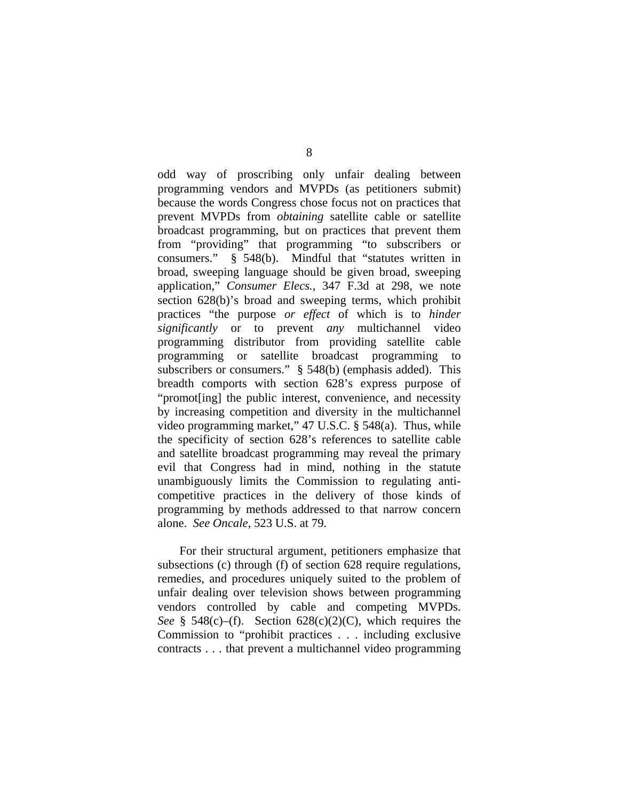odd way of proscribing only unfair dealing between programming vendors and MVPDs (as petitioners submit) because the words Congress chose focus not on practices that prevent MVPDs from *obtaining* satellite cable or satellite broadcast programming, but on practices that prevent them from "providing" that programming "to subscribers or consumers." § 548(b). Mindful that "statutes written in broad, sweeping language should be given broad, sweeping application," *Consumer Elecs.*, 347 F.3d at 298, we note section 628(b)'s broad and sweeping terms, which prohibit practices "the purpose *or effect* of which is to *hinder significantly* or to prevent *any* multichannel video programming distributor from providing satellite cable programming or satellite broadcast programming to subscribers or consumers." § 548(b) (emphasis added). This breadth comports with section 628's express purpose of "promot[ing] the public interest, convenience, and necessity by increasing competition and diversity in the multichannel video programming market," 47 U.S.C. § 548(a). Thus, while the specificity of section 628's references to satellite cable and satellite broadcast programming may reveal the primary evil that Congress had in mind, nothing in the statute unambiguously limits the Commission to regulating anticompetitive practices in the delivery of those kinds of programming by methods addressed to that narrow concern alone. *See Oncale*, 523 U.S. at 79.

 For their structural argument, petitioners emphasize that subsections (c) through (f) of section 628 require regulations, remedies, and procedures uniquely suited to the problem of unfair dealing over television shows between programming vendors controlled by cable and competing MVPDs. *See* § 548(c)–(f). Section 628(c)(2)(C), which requires the Commission to "prohibit practices . . . including exclusive contracts . . . that prevent a multichannel video programming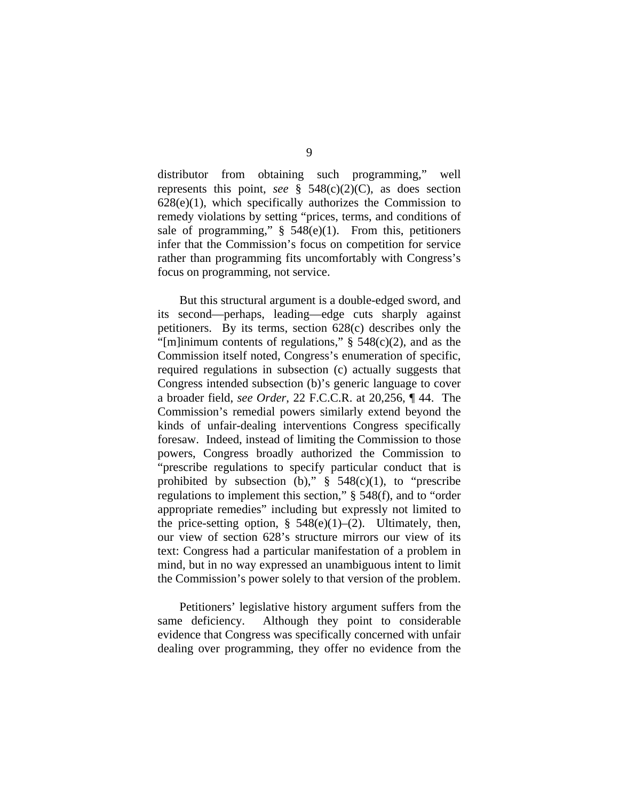distributor from obtaining such programming," well represents this point, *see* § 548(c)(2)(C), as does section  $628(e)(1)$ , which specifically authorizes the Commission to remedy violations by setting "prices, terms, and conditions of sale of programming,"  $\S$  548(e)(1). From this, petitioners infer that the Commission's focus on competition for service rather than programming fits uncomfortably with Congress's focus on programming, not service.

But this structural argument is a double-edged sword, and its second—perhaps, leading—edge cuts sharply against petitioners. By its terms, section 628(c) describes only the "[m]inimum contents of regulations,"  $\S$  548(c)(2), and as the Commission itself noted, Congress's enumeration of specific, required regulations in subsection (c) actually suggests that Congress intended subsection (b)'s generic language to cover a broader field, *see Order*, 22 F.C.C.R. at 20,256, ¶ 44. The Commission's remedial powers similarly extend beyond the kinds of unfair-dealing interventions Congress specifically foresaw. Indeed, instead of limiting the Commission to those powers, Congress broadly authorized the Commission to "prescribe regulations to specify particular conduct that is prohibited by subsection (b),"  $\S$  548(c)(1), to "prescribe regulations to implement this section," § 548(f), and to "order appropriate remedies" including but expressly not limited to the price-setting option,  $\S$  548(e)(1)–(2). Ultimately, then, our view of section 628's structure mirrors our view of its text: Congress had a particular manifestation of a problem in mind, but in no way expressed an unambiguous intent to limit the Commission's power solely to that version of the problem.

 Petitioners' legislative history argument suffers from the same deficiency. Although they point to considerable evidence that Congress was specifically concerned with unfair dealing over programming, they offer no evidence from the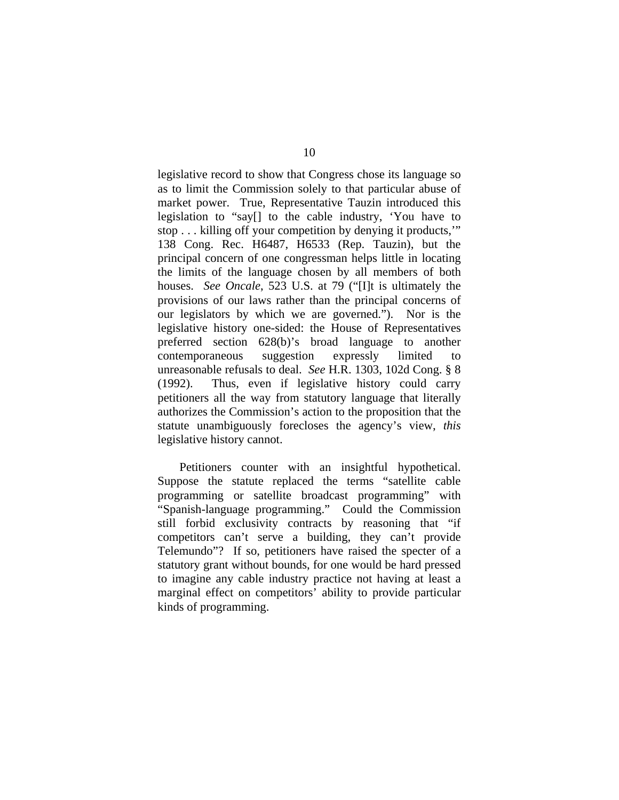legislative record to show that Congress chose its language so as to limit the Commission solely to that particular abuse of market power. True, Representative Tauzin introduced this legislation to "say[] to the cable industry, 'You have to stop . . . killing off your competition by denying it products,'" 138 Cong. Rec. H6487, H6533 (Rep. Tauzin), but the principal concern of one congressman helps little in locating the limits of the language chosen by all members of both houses. *See Oncale*, 523 U.S. at 79 ("[I]t is ultimately the provisions of our laws rather than the principal concerns of our legislators by which we are governed."). Nor is the legislative history one-sided: the House of Representatives preferred section 628(b)'s broad language to another contemporaneous suggestion expressly limited to unreasonable refusals to deal. *See* H.R. 1303, 102d Cong. § 8 (1992). Thus, even if legislative history could carry petitioners all the way from statutory language that literally authorizes the Commission's action to the proposition that the statute unambiguously forecloses the agency's view, *this*  legislative history cannot.

 Petitioners counter with an insightful hypothetical. Suppose the statute replaced the terms "satellite cable programming or satellite broadcast programming" with "Spanish-language programming." Could the Commission still forbid exclusivity contracts by reasoning that "if competitors can't serve a building, they can't provide Telemundo"? If so, petitioners have raised the specter of a statutory grant without bounds, for one would be hard pressed to imagine any cable industry practice not having at least a marginal effect on competitors' ability to provide particular kinds of programming.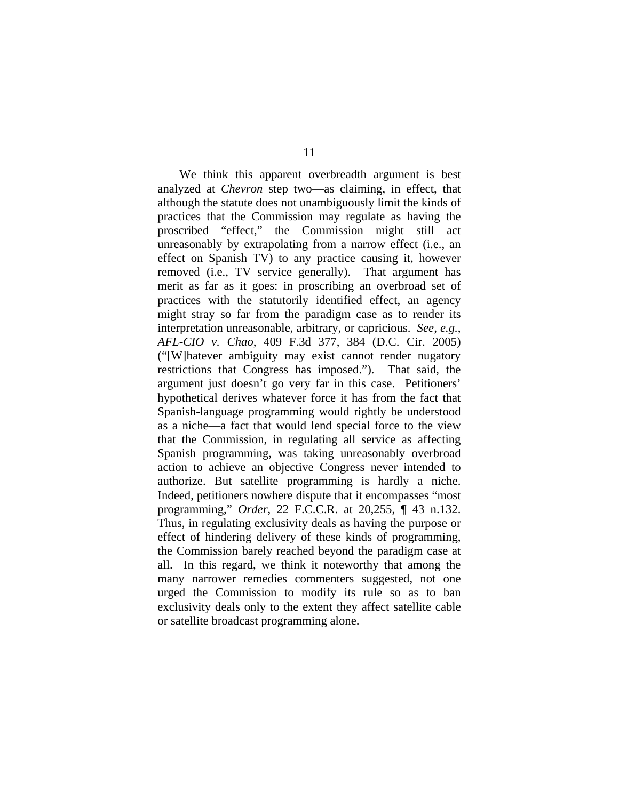We think this apparent overbreadth argument is best analyzed at *Chevron* step two—as claiming, in effect, that although the statute does not unambiguously limit the kinds of practices that the Commission may regulate as having the proscribed "effect," the Commission might still act unreasonably by extrapolating from a narrow effect (i.e., an effect on Spanish TV) to any practice causing it, however removed (i.e., TV service generally). That argument has merit as far as it goes: in proscribing an overbroad set of practices with the statutorily identified effect, an agency might stray so far from the paradigm case as to render its interpretation unreasonable, arbitrary, or capricious. *See, e.g.*, *AFL-CIO v. Chao*, 409 F.3d 377, 384 (D.C. Cir. 2005) ("[W]hatever ambiguity may exist cannot render nugatory restrictions that Congress has imposed."). That said, the argument just doesn't go very far in this case. Petitioners' hypothetical derives whatever force it has from the fact that Spanish-language programming would rightly be understood as a niche—a fact that would lend special force to the view that the Commission, in regulating all service as affecting Spanish programming, was taking unreasonably overbroad action to achieve an objective Congress never intended to authorize. But satellite programming is hardly a niche. Indeed, petitioners nowhere dispute that it encompasses "most programming," *Order*, 22 F.C.C.R. at 20,255, ¶ 43 n.132. Thus, in regulating exclusivity deals as having the purpose or effect of hindering delivery of these kinds of programming, the Commission barely reached beyond the paradigm case at all. In this regard, we think it noteworthy that among the many narrower remedies commenters suggested, not one urged the Commission to modify its rule so as to ban exclusivity deals only to the extent they affect satellite cable or satellite broadcast programming alone.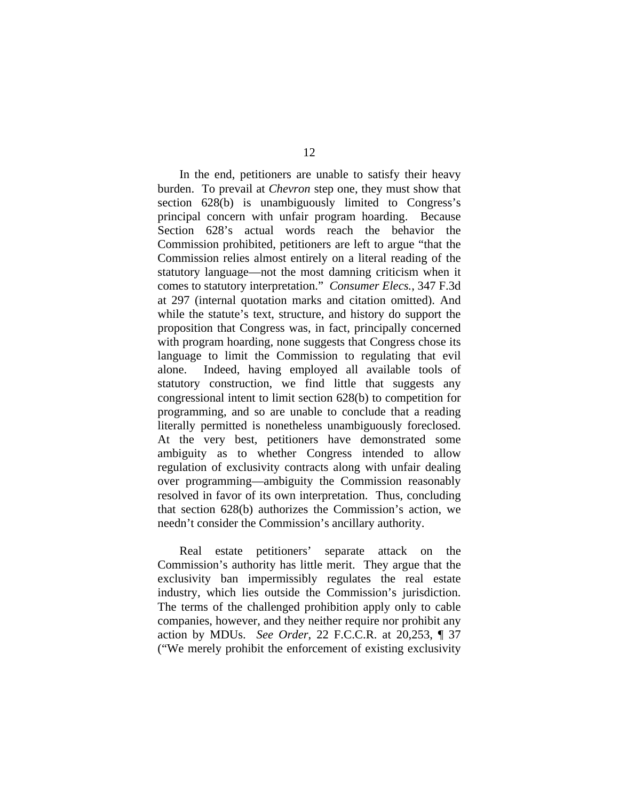In the end, petitioners are unable to satisfy their heavy burden. To prevail at *Chevron* step one, they must show that section 628(b) is unambiguously limited to Congress's principal concern with unfair program hoarding. Because Section 628's actual words reach the behavior the Commission prohibited, petitioners are left to argue "that the Commission relies almost entirely on a literal reading of the statutory language—not the most damning criticism when it comes to statutory interpretation." *Consumer Elecs.*, 347 F.3d at 297 (internal quotation marks and citation omitted). And while the statute's text, structure, and history do support the proposition that Congress was, in fact, principally concerned with program hoarding, none suggests that Congress chose its language to limit the Commission to regulating that evil alone. Indeed, having employed all available tools of statutory construction, we find little that suggests any congressional intent to limit section 628(b) to competition for programming, and so are unable to conclude that a reading literally permitted is nonetheless unambiguously foreclosed. At the very best, petitioners have demonstrated some ambiguity as to whether Congress intended to allow regulation of exclusivity contracts along with unfair dealing over programming—ambiguity the Commission reasonably resolved in favor of its own interpretation. Thus, concluding that section 628(b) authorizes the Commission's action, we needn't consider the Commission's ancillary authority.

 Real estate petitioners' separate attack on the Commission's authority has little merit. They argue that the exclusivity ban impermissibly regulates the real estate industry, which lies outside the Commission's jurisdiction. The terms of the challenged prohibition apply only to cable companies, however, and they neither require nor prohibit any action by MDUs. *See Order*, 22 F.C.C.R. at 20,253, ¶ 37 ("We merely prohibit the enforcement of existing exclusivity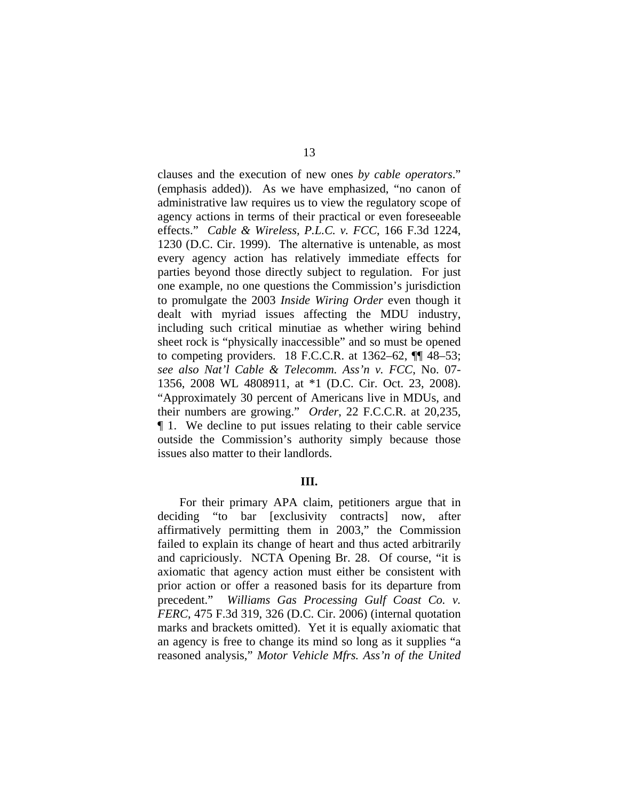clauses and the execution of new ones *by cable operators*." (emphasis added)). As we have emphasized, "no canon of administrative law requires us to view the regulatory scope of agency actions in terms of their practical or even foreseeable effects." *Cable & Wireless, P.L.C. v. FCC*, 166 F.3d 1224, 1230 (D.C. Cir. 1999). The alternative is untenable, as most every agency action has relatively immediate effects for parties beyond those directly subject to regulation. For just one example, no one questions the Commission's jurisdiction to promulgate the 2003 *Inside Wiring Order* even though it dealt with myriad issues affecting the MDU industry, including such critical minutiae as whether wiring behind sheet rock is "physically inaccessible" and so must be opened to competing providers. 18 F.C.C.R. at  $1362-62$ ,  $\P\P$  48–53; *see also Nat'l Cable & Telecomm. Ass'n v. FCC*, No. 07- 1356, 2008 WL 4808911, at \*1 (D.C. Cir. Oct. 23, 2008). "Approximately 30 percent of Americans live in MDUs, and their numbers are growing." *Order*, 22 F.C.C.R. at 20,235, ¶ 1. We decline to put issues relating to their cable service outside the Commission's authority simply because those issues also matter to their landlords.

#### **III.**

For their primary APA claim, petitioners argue that in deciding "to bar [exclusivity contracts] now, after affirmatively permitting them in 2003," the Commission failed to explain its change of heart and thus acted arbitrarily and capriciously. NCTA Opening Br. 28. Of course, "it is axiomatic that agency action must either be consistent with prior action or offer a reasoned basis for its departure from precedent." *Williams Gas Processing Gulf Coast Co. v. FERC*, 475 F.3d 319, 326 (D.C. Cir. 2006) (internal quotation marks and brackets omitted). Yet it is equally axiomatic that an agency is free to change its mind so long as it supplies "a reasoned analysis," *Motor Vehicle Mfrs. Ass'n of the United*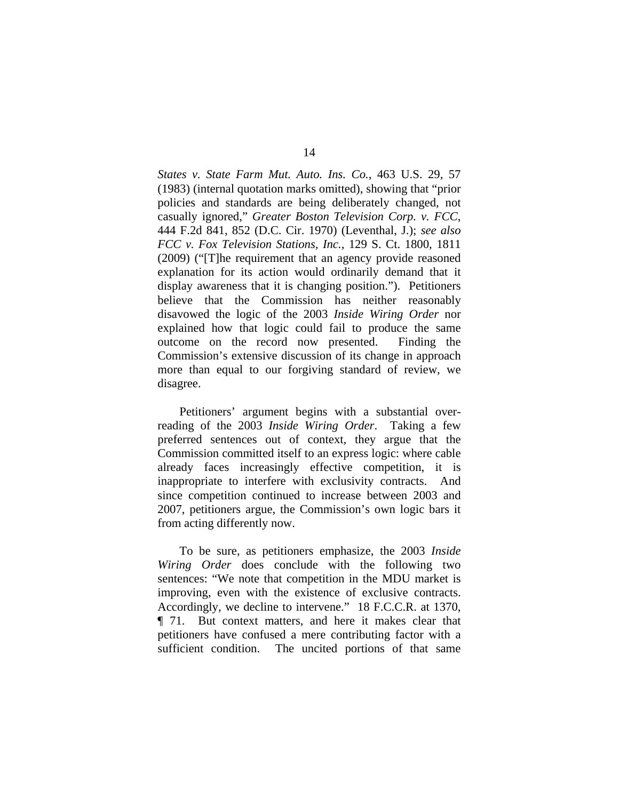*States v. State Farm Mut. Auto. Ins. Co.*, 463 U.S. 29, 57 (1983) (internal quotation marks omitted), showing that "prior policies and standards are being deliberately changed, not casually ignored," *Greater Boston Television Corp. v. FCC*, 444 F.2d 841, 852 (D.C. Cir. 1970) (Leventhal, J.); *see also FCC v. Fox Television Stations, Inc.*, 129 S. Ct. 1800, 1811 (2009) ("[T]he requirement that an agency provide reasoned explanation for its action would ordinarily demand that it display awareness that it is changing position."). Petitioners believe that the Commission has neither reasonably disavowed the logic of the 2003 *Inside Wiring Order* nor explained how that logic could fail to produce the same outcome on the record now presented. Finding the Commission's extensive discussion of its change in approach more than equal to our forgiving standard of review, we disagree.

 Petitioners' argument begins with a substantial overreading of the 2003 *Inside Wiring Order*. Taking a few preferred sentences out of context, they argue that the Commission committed itself to an express logic: where cable already faces increasingly effective competition, it is inappropriate to interfere with exclusivity contracts. And since competition continued to increase between 2003 and 2007, petitioners argue, the Commission's own logic bars it from acting differently now.

 To be sure, as petitioners emphasize, the 2003 *Inside Wiring Order* does conclude with the following two sentences: "We note that competition in the MDU market is improving, even with the existence of exclusive contracts. Accordingly, we decline to intervene." 18 F.C.C.R. at 1370, ¶ 71. But context matters, and here it makes clear that petitioners have confused a mere contributing factor with a sufficient condition. The uncited portions of that same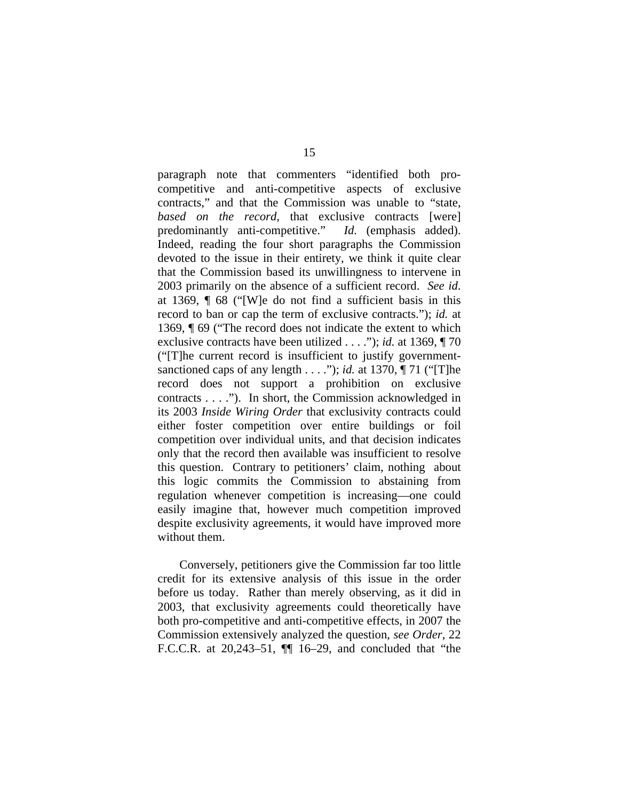paragraph note that commenters "identified both procompetitive and anti-competitive aspects of exclusive contracts," and that the Commission was unable to "state, *based on the record*, that exclusive contracts [were] predominantly anti-competitive." *Id.* (emphasis added). Indeed, reading the four short paragraphs the Commission devoted to the issue in their entirety, we think it quite clear that the Commission based its unwillingness to intervene in 2003 primarily on the absence of a sufficient record. *See id*. at 1369, ¶ 68 ("[W]e do not find a sufficient basis in this record to ban or cap the term of exclusive contracts."); *id.* at 1369, ¶ 69 ("The record does not indicate the extent to which exclusive contracts have been utilized . . . ."); *id.* at 1369, ¶ 70 ("[T]he current record is insufficient to justify governmentsanctioned caps of any length . . . ."); *id.* at 1370, ¶ 71 ("[T]he record does not support a prohibition on exclusive contracts . . . ."). In short, the Commission acknowledged in its 2003 *Inside Wiring Order* that exclusivity contracts could either foster competition over entire buildings or foil competition over individual units, and that decision indicates only that the record then available was insufficient to resolve this question. Contrary to petitioners' claim, nothing about this logic commits the Commission to abstaining from regulation whenever competition is increasing—one could easily imagine that, however much competition improved despite exclusivity agreements, it would have improved more without them.

 Conversely, petitioners give the Commission far too little credit for its extensive analysis of this issue in the order before us today. Rather than merely observing, as it did in 2003, that exclusivity agreements could theoretically have both pro-competitive and anti-competitive effects, in 2007 the Commission extensively analyzed the question, *see Order*, 22 F.C.C.R. at 20,243–51, ¶¶ 16–29, and concluded that "the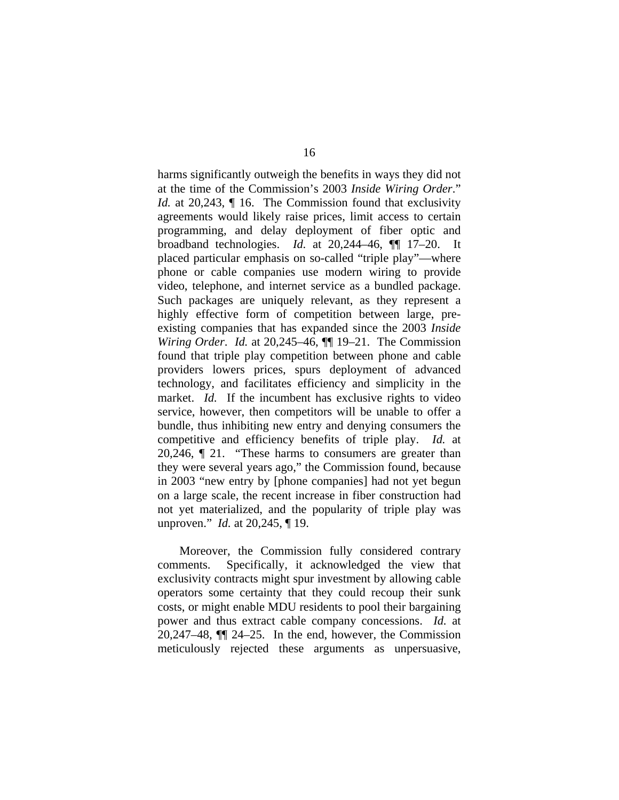harms significantly outweigh the benefits in ways they did not at the time of the Commission's 2003 *Inside Wiring Order*." *Id.* at 20,243,  $\P$  16. The Commission found that exclusivity agreements would likely raise prices, limit access to certain programming, and delay deployment of fiber optic and broadband technologies. *Id.* at 20,244–46, ¶¶ 17–20. It placed particular emphasis on so-called "triple play"—where phone or cable companies use modern wiring to provide video, telephone, and internet service as a bundled package. Such packages are uniquely relevant, as they represent a highly effective form of competition between large, preexisting companies that has expanded since the 2003 *Inside Wiring Order*. *Id.* at 20,245–46, ¶¶ 19–21. The Commission found that triple play competition between phone and cable providers lowers prices, spurs deployment of advanced technology, and facilitates efficiency and simplicity in the market. *Id.* If the incumbent has exclusive rights to video service, however, then competitors will be unable to offer a bundle, thus inhibiting new entry and denying consumers the competitive and efficiency benefits of triple play. *Id.* at 20,246, ¶ 21. "These harms to consumers are greater than they were several years ago," the Commission found, because in 2003 "new entry by [phone companies] had not yet begun on a large scale, the recent increase in fiber construction had not yet materialized, and the popularity of triple play was unproven." *Id.* at 20,245, ¶ 19.

 Moreover, the Commission fully considered contrary comments. Specifically, it acknowledged the view that exclusivity contracts might spur investment by allowing cable operators some certainty that they could recoup their sunk costs, or might enable MDU residents to pool their bargaining power and thus extract cable company concessions. *Id.* at 20,247–48, ¶¶ 24–25. In the end, however, the Commission meticulously rejected these arguments as unpersuasive,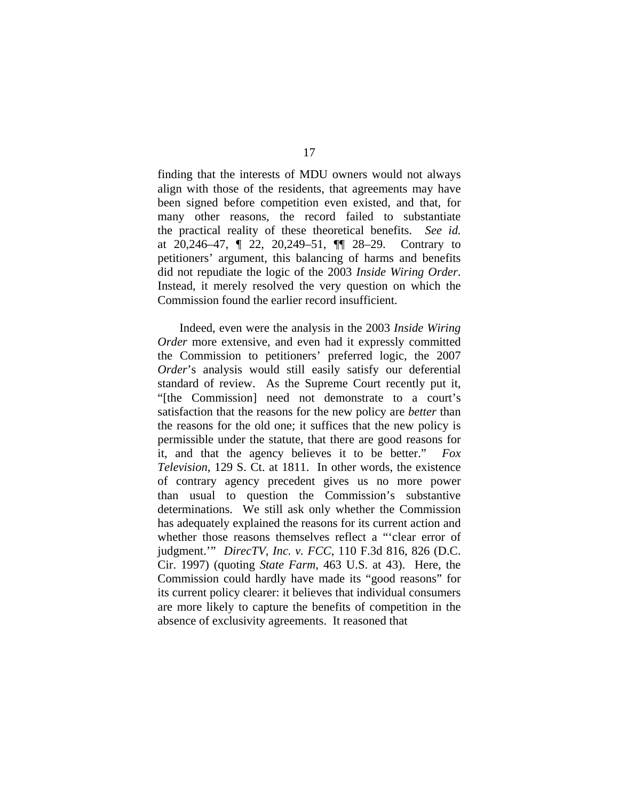finding that the interests of MDU owners would not always align with those of the residents, that agreements may have been signed before competition even existed, and that, for many other reasons, the record failed to substantiate the practical reality of these theoretical benefits. *See id.* at 20,246–47, ¶ 22, 20,249–51, ¶¶ 28–29. Contrary to petitioners' argument, this balancing of harms and benefits did not repudiate the logic of the 2003 *Inside Wiring Order*. Instead, it merely resolved the very question on which the Commission found the earlier record insufficient.

 Indeed, even were the analysis in the 2003 *Inside Wiring Order* more extensive, and even had it expressly committed the Commission to petitioners' preferred logic, the 2007 *Order*'s analysis would still easily satisfy our deferential standard of review. As the Supreme Court recently put it, "[the Commission] need not demonstrate to a court's satisfaction that the reasons for the new policy are *better* than the reasons for the old one; it suffices that the new policy is permissible under the statute, that there are good reasons for it, and that the agency believes it to be better." *Fox Television*, 129 S. Ct. at 1811. In other words, the existence of contrary agency precedent gives us no more power than usual to question the Commission's substantive determinations. We still ask only whether the Commission has adequately explained the reasons for its current action and whether those reasons themselves reflect a "'clear error of judgment.'" *DirecTV, Inc. v. FCC*, 110 F.3d 816, 826 (D.C. Cir. 1997) (quoting *State Farm*, 463 U.S. at 43). Here, the Commission could hardly have made its "good reasons" for its current policy clearer: it believes that individual consumers are more likely to capture the benefits of competition in the absence of exclusivity agreements. It reasoned that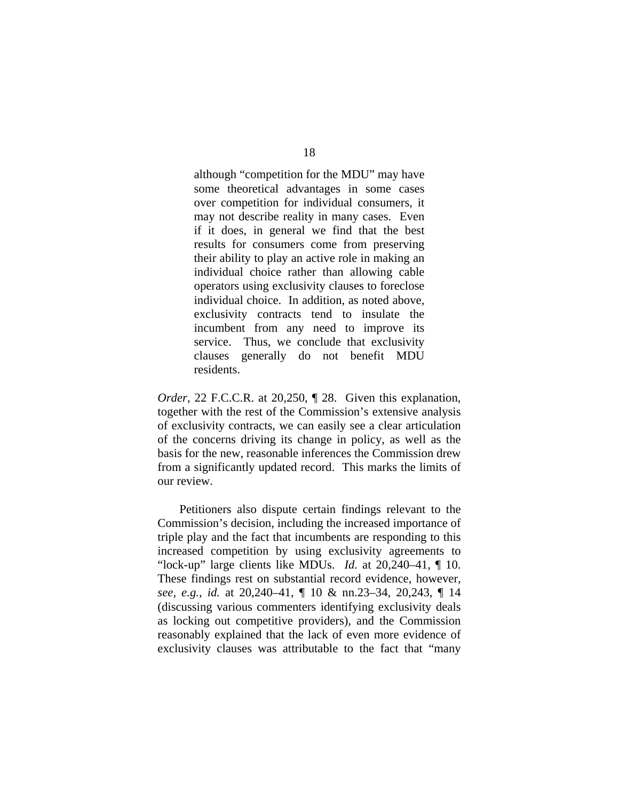although "competition for the MDU" may have some theoretical advantages in some cases over competition for individual consumers, it may not describe reality in many cases. Even if it does, in general we find that the best results for consumers come from preserving their ability to play an active role in making an individual choice rather than allowing cable operators using exclusivity clauses to foreclose individual choice. In addition, as noted above, exclusivity contracts tend to insulate the incumbent from any need to improve its service. Thus, we conclude that exclusivity clauses generally do not benefit MDU residents.

*Order*, 22 F.C.C.R. at 20,250, 1 28. Given this explanation, together with the rest of the Commission's extensive analysis of exclusivity contracts, we can easily see a clear articulation of the concerns driving its change in policy, as well as the basis for the new, reasonable inferences the Commission drew from a significantly updated record. This marks the limits of our review.

 Petitioners also dispute certain findings relevant to the Commission's decision, including the increased importance of triple play and the fact that incumbents are responding to this increased competition by using exclusivity agreements to "lock-up" large clients like MDUs. *Id.* at 20,240–41, ¶ 10. These findings rest on substantial record evidence, however, *see, e.g.*, *id.* at 20,240–41, ¶ 10 & nn.23–34, 20,243, ¶ 14 (discussing various commenters identifying exclusivity deals as locking out competitive providers), and the Commission reasonably explained that the lack of even more evidence of exclusivity clauses was attributable to the fact that "many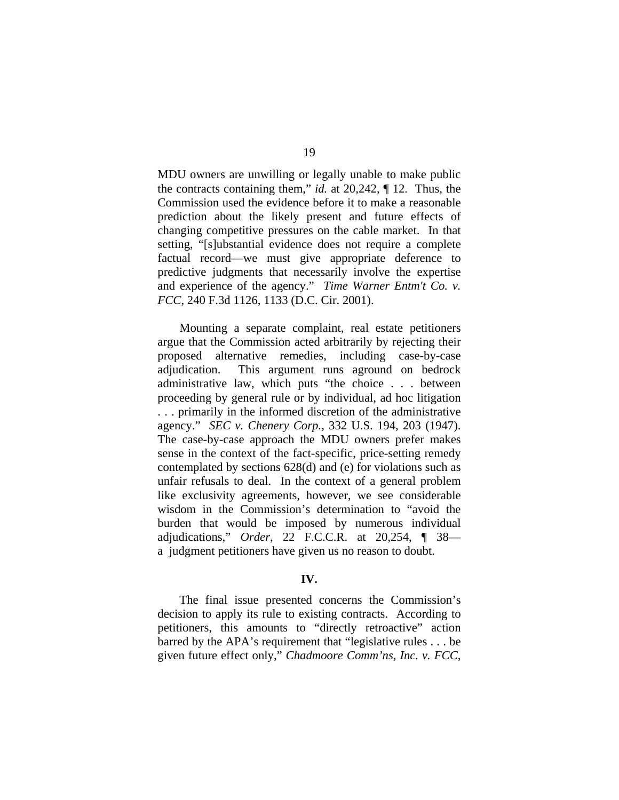MDU owners are unwilling or legally unable to make public the contracts containing them," *id.* at 20,242, ¶ 12. Thus, the Commission used the evidence before it to make a reasonable prediction about the likely present and future effects of changing competitive pressures on the cable market. In that setting, "[s]ubstantial evidence does not require a complete factual record—we must give appropriate deference to predictive judgments that necessarily involve the expertise and experience of the agency." *Time Warner Entm't Co. v. FCC*, 240 F.3d 1126, 1133 (D.C. Cir. 2001).

 Mounting a separate complaint, real estate petitioners argue that the Commission acted arbitrarily by rejecting their proposed alternative remedies, including case-by-case adjudication. This argument runs aground on bedrock administrative law, which puts "the choice . . . between proceeding by general rule or by individual, ad hoc litigation . . . primarily in the informed discretion of the administrative agency." *SEC v. Chenery Corp.*, 332 U.S. 194, 203 (1947). The case-by-case approach the MDU owners prefer makes sense in the context of the fact-specific, price-setting remedy contemplated by sections 628(d) and (e) for violations such as unfair refusals to deal. In the context of a general problem like exclusivity agreements, however, we see considerable wisdom in the Commission's determination to "avoid the burden that would be imposed by numerous individual adjudications," *Order*, 22 F.C.C.R. at 20,254, ¶ 38 a judgment petitioners have given us no reason to doubt.

### **IV.**

The final issue presented concerns the Commission's decision to apply its rule to existing contracts. According to petitioners, this amounts to "directly retroactive" action barred by the APA's requirement that "legislative rules . . . be given future effect only," *Chadmoore Comm'ns, Inc. v. FCC*,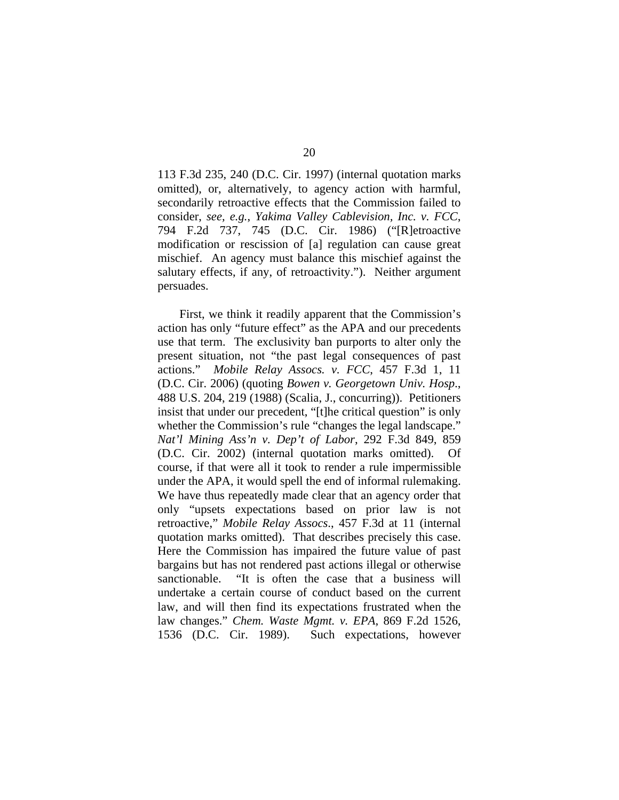113 F.3d 235, 240 (D.C. Cir. 1997) (internal quotation marks omitted), or, alternatively, to agency action with harmful, secondarily retroactive effects that the Commission failed to consider, *see, e.g.*, *Yakima Valley Cablevision, Inc. v. FCC*, 794 F.2d 737, 745 (D.C. Cir. 1986) ("[R]etroactive modification or rescission of [a] regulation can cause great mischief. An agency must balance this mischief against the salutary effects, if any, of retroactivity."). Neither argument persuades.

 First, we think it readily apparent that the Commission's action has only "future effect" as the APA and our precedents use that term. The exclusivity ban purports to alter only the present situation, not "the past legal consequences of past actions." *Mobile Relay Assocs. v. FCC*, 457 F.3d 1, 11 (D.C. Cir. 2006) (quoting *Bowen v. Georgetown Univ. Hosp*., 488 U.S. 204, 219 (1988) (Scalia, J., concurring)). Petitioners insist that under our precedent, "[t]he critical question" is only whether the Commission's rule "changes the legal landscape." *Nat'l Mining Ass'n v. Dep't of Labor*, 292 F.3d 849, 859 (D.C. Cir. 2002) (internal quotation marks omitted). Of course, if that were all it took to render a rule impermissible under the APA, it would spell the end of informal rulemaking. We have thus repeatedly made clear that an agency order that only "upsets expectations based on prior law is not retroactive," *Mobile Relay Assocs*., 457 F.3d at 11 (internal quotation marks omitted). That describes precisely this case. Here the Commission has impaired the future value of past bargains but has not rendered past actions illegal or otherwise sanctionable. "It is often the case that a business will undertake a certain course of conduct based on the current law, and will then find its expectations frustrated when the law changes." *Chem. Waste Mgmt. v. EPA*, 869 F.2d 1526, 1536 (D.C. Cir. 1989). Such expectations, however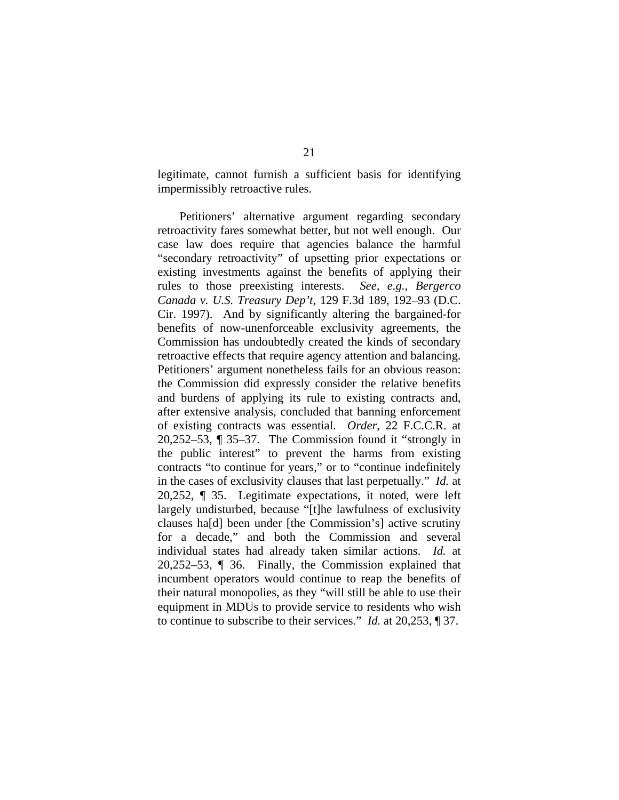legitimate, cannot furnish a sufficient basis for identifying impermissibly retroactive rules.

 Petitioners' alternative argument regarding secondary retroactivity fares somewhat better, but not well enough. Our case law does require that agencies balance the harmful "secondary retroactivity" of upsetting prior expectations or existing investments against the benefits of applying their rules to those preexisting interests. *See, e.g.*, *Bergerco Canada v. U.S. Treasury Dep't*, 129 F.3d 189, 192–93 (D.C. Cir. 1997). And by significantly altering the bargained-for benefits of now-unenforceable exclusivity agreements, the Commission has undoubtedly created the kinds of secondary retroactive effects that require agency attention and balancing. Petitioners' argument nonetheless fails for an obvious reason: the Commission did expressly consider the relative benefits and burdens of applying its rule to existing contracts and, after extensive analysis, concluded that banning enforcement of existing contracts was essential. *Order*, 22 F.C.C.R. at 20,252–53, ¶ 35–37. The Commission found it "strongly in the public interest" to prevent the harms from existing contracts "to continue for years," or to "continue indefinitely in the cases of exclusivity clauses that last perpetually." *Id.* at 20,252, ¶ 35. Legitimate expectations, it noted, were left largely undisturbed, because "[t]he lawfulness of exclusivity clauses ha[d] been under [the Commission's] active scrutiny for a decade," and both the Commission and several individual states had already taken similar actions. *Id.* at 20,252–53, ¶ 36. Finally, the Commission explained that incumbent operators would continue to reap the benefits of their natural monopolies, as they "will still be able to use their equipment in MDUs to provide service to residents who wish to continue to subscribe to their services." *Id.* at 20,253, ¶ 37.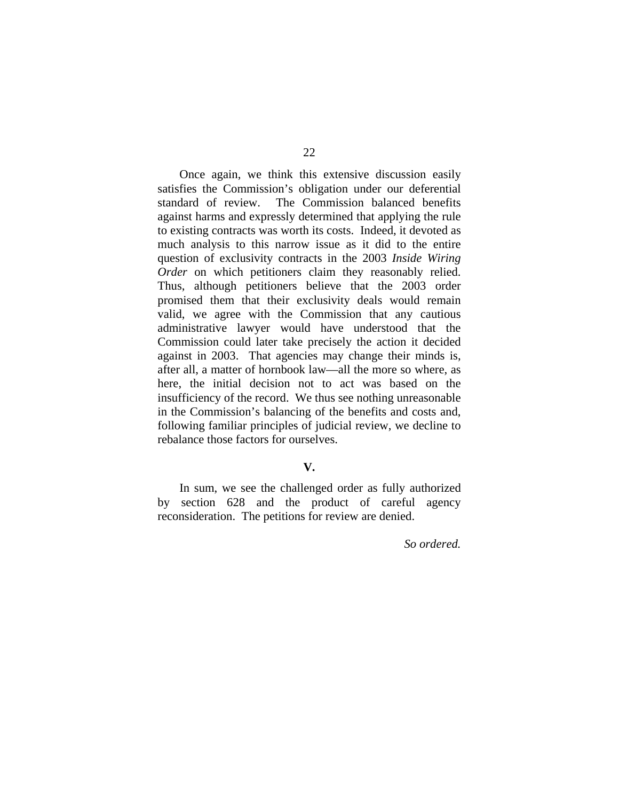Once again, we think this extensive discussion easily satisfies the Commission's obligation under our deferential standard of review. The Commission balanced benefits against harms and expressly determined that applying the rule to existing contracts was worth its costs. Indeed, it devoted as much analysis to this narrow issue as it did to the entire question of exclusivity contracts in the 2003 *Inside Wiring Order* on which petitioners claim they reasonably relied. Thus, although petitioners believe that the 2003 order promised them that their exclusivity deals would remain valid, we agree with the Commission that any cautious administrative lawyer would have understood that the Commission could later take precisely the action it decided against in 2003. That agencies may change their minds is, after all, a matter of hornbook law—all the more so where, as here, the initial decision not to act was based on the insufficiency of the record. We thus see nothing unreasonable in the Commission's balancing of the benefits and costs and, following familiar principles of judicial review, we decline to rebalance those factors for ourselves.

# **V.**

In sum, we see the challenged order as fully authorized by section 628 and the product of careful agency reconsideration. The petitions for review are denied.

*So ordered.*